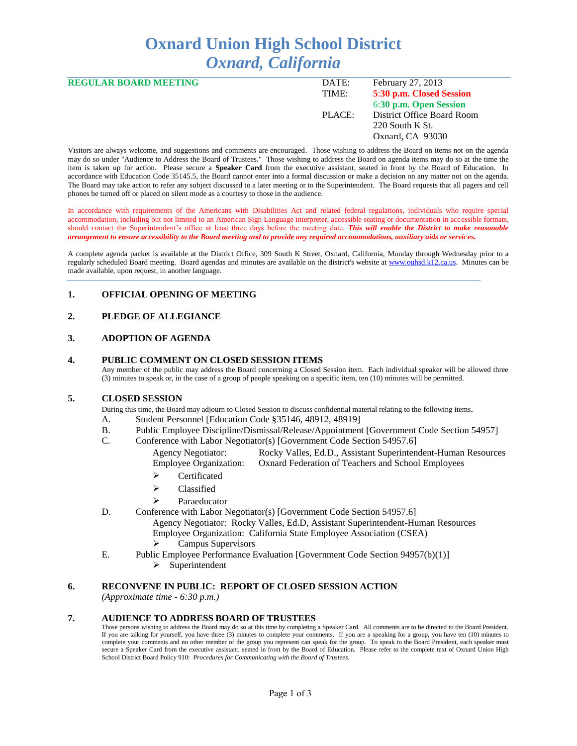# **Oxnard Union High School District** *Oxnard, California*

| <b>REGULAR BOARD MEETING</b> | DATE:  | February 27, 2013          |
|------------------------------|--------|----------------------------|
|                              | TIME:  | 5:30 p.m. Closed Session   |
|                              |        | 6:30 p.m. Open Session     |
|                              | PLACE: | District Office Board Room |
|                              |        | $220$ South K St.          |
|                              |        | Oxnard, CA 93030           |
|                              |        |                            |

Visitors are always welcome, and suggestions and comments are encouraged. Those wishing to address the Board on items not on the agenda may do so under "Audience to Address the Board of Trustees." Those wishing to address the Board on agenda items may do so at the time the item is taken up for action. Please secure a **Speaker Card** from the executive assistant, seated in front by the Board of Education. In accordance with Education Code 35145.5, the Board cannot enter into a formal discussion or make a decision on any matter not on the agenda. The Board may take action to refer any subject discussed to a later meeting or to the Superintendent. The Board requests that all pagers and cell phones be turned off or placed on silent mode as a courtesy to those in the audience.

In accordance with requirements of the Americans with Disabilities Act and related federal regulations, individuals who require special accommodation, including but not limited to an American Sign Language interpreter, accessible seating or documentation in accessible formats, should contact the Superintendent's office at least three days before the meeting date. *This will enable the District to make reasonable arrangement to ensure accessibility to the Board meeting and to provide any required accommodations, auxiliary aids or services.* 

A complete agenda packet is available at the District Office, 309 South K Street, Oxnard, California, Monday through Wednesday prior to a regularly scheduled Board meeting. Board agendas and minutes are available on the district's website at [www.ouhsd.k12.ca.us.](http://www.ouhsd.k12.ca.us/)Minutes can be made available, upon request, in another language.

# **1. OFFICIAL OPENING OF MEETING**

# **2. PLEDGE OF ALLEGIANCE**

#### **3. ADOPTION OF AGENDA**

#### **4. PUBLIC COMMENT ON CLOSED SESSION ITEMS**

Any member of the public may address the Board concerning a Closed Session item. Each individual speaker will be allowed three (3) minutes to speak or, in the case of a group of people speaking on a specific item, ten (10) minutes will be permitted.

#### **5. CLOSED SESSION**

During this time, the Board may adjourn to Closed Session to discuss confidential material relating to the following items.

- A. Student Personnel [Education Code §35146, 48912, 48919]
- B. Public Employee Discipline/Dismissal/Release/Appointment [Government Code Section 54957]
- C. Conference with Labor Negotiator(s) [Government Code Section 54957.6]
	- Agency Negotiator: Rocky Valles, Ed.D., Assistant Superintendent-Human Resources Employee Organization: Oxnard Federation of Teachers and School Employees
		- > Certificated
		- > Classified
		- $\triangleright$  Paraeducator
- D. Conference with Labor Negotiator(s) [Government Code Section 54957.6] Agency Negotiator: Rocky Valles, Ed.D, Assistant Superintendent-Human Resources Employee Organization: California State Employee Association (CSEA)  $\triangleright$  Campus Supervisors
- E. Public Employee Performance Evaluation [Government Code Section 94957(b)(1)]
	- $\triangleright$  Superintendent

## **6. RECONVENE IN PUBLIC: REPORT OF CLOSED SESSION ACTION**

*(Approximate time - 6:30 p.m.)*

#### **7. AUDIENCE TO ADDRESS BOARD OF TRUSTEES**

Those persons wishing to address the Board may do so at this time by completing a Speaker Card. All comments are to be directed to the Board President. If you are talking for yourself, you have three (3) minutes to complete your comments. If you are a speaking for a group, you have ten (10) minutes to complete your comments and no other member of the group you represent can speak for the group. To speak to the Board President, each speaker must secure a Speaker Card from the executive assistant, seated in front by the Board of Education. Please refer to the complete text of Oxnard Union High School District Board Policy 910: *Procedures for Communicating with the Board of Trustees.*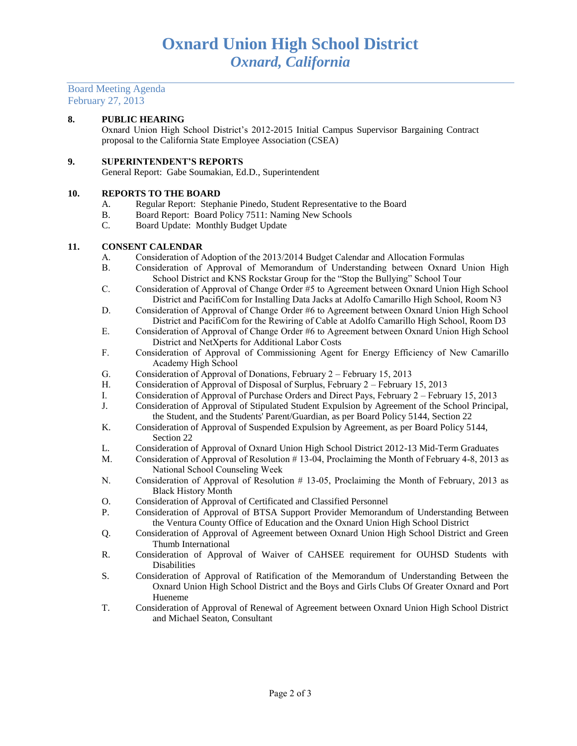### Board Meeting Agenda February 27, 2013

### **8. PUBLIC HEARING**

Oxnard Union High School District's 2012-2015 Initial Campus Supervisor Bargaining Contract proposal to the California State Employee Association (CSEA)

#### **9. SUPERINTENDENT'S REPORTS**

General Report: Gabe Soumakian, Ed.D., Superintendent

#### **10. REPORTS TO THE BOARD**

- A. Regular Report: Stephanie Pinedo, Student Representative to the Board
- B. Board Report: Board Policy 7511: Naming New Schools
- C. Board Update: Monthly Budget Update

#### **11. CONSENT CALENDAR**

- A. Consideration of Adoption of the 2013/2014 Budget Calendar and Allocation Formulas
- B. Consideration of Approval of Memorandum of Understanding between Oxnard Union High School District and KNS Rockstar Group for the "Stop the Bullying" School Tour
- C. Consideration of Approval of Change Order #5 to Agreement between Oxnard Union High School District and PacifiCom for Installing Data Jacks at Adolfo Camarillo High School, Room N3
- D. Consideration of Approval of Change Order #6 to Agreement between Oxnard Union High School District and PacifiCom for the Rewiring of Cable at Adolfo Camarillo High School, Room D3
- E. Consideration of Approval of Change Order #6 to Agreement between Oxnard Union High School District and NetXperts for Additional Labor Costs
- F. Consideration of Approval of Commissioning Agent for Energy Efficiency of New Camarillo Academy High School
- G. Consideration of Approval of Donations, February 2 February 15, 2013
- H. Consideration of Approval of Disposal of Surplus, February 2 February 15, 2013
- I. Consideration of Approval of Purchase Orders and Direct Pays, February 2 February 15, 2013
- J. Consideration of Approval of Stipulated Student Expulsion by Agreement of the School Principal, the Student, and the Students' Parent/Guardian, as per Board Policy 5144, Section 22
- K. Consideration of Approval of Suspended Expulsion by Agreement, as per Board Policy 5144, Section 22
- L. Consideration of Approval of Oxnard Union High School District 2012-13 Mid-Term Graduates
- M. Consideration of Approval of Resolution # 13-04, Proclaiming the Month of February 4-8, 2013 as National School Counseling Week
- N. Consideration of Approval of Resolution # 13-05, Proclaiming the Month of February, 2013 as Black History Month
- O. Consideration of Approval of Certificated and Classified Personnel
- P. Consideration of Approval of BTSA Support Provider Memorandum of Understanding Between the Ventura County Office of Education and the Oxnard Union High School District
- Q. Consideration of Approval of Agreement between Oxnard Union High School District and Green Thumb International
- R. Consideration of Approval of Waiver of CAHSEE requirement for OUHSD Students with Disabilities
- S. Consideration of Approval of Ratification of the Memorandum of Understanding Between the Oxnard Union High School District and the Boys and Girls Clubs Of Greater Oxnard and Port Hueneme
- T. Consideration of Approval of Renewal of Agreement between Oxnard Union High School District and Michael Seaton, Consultant